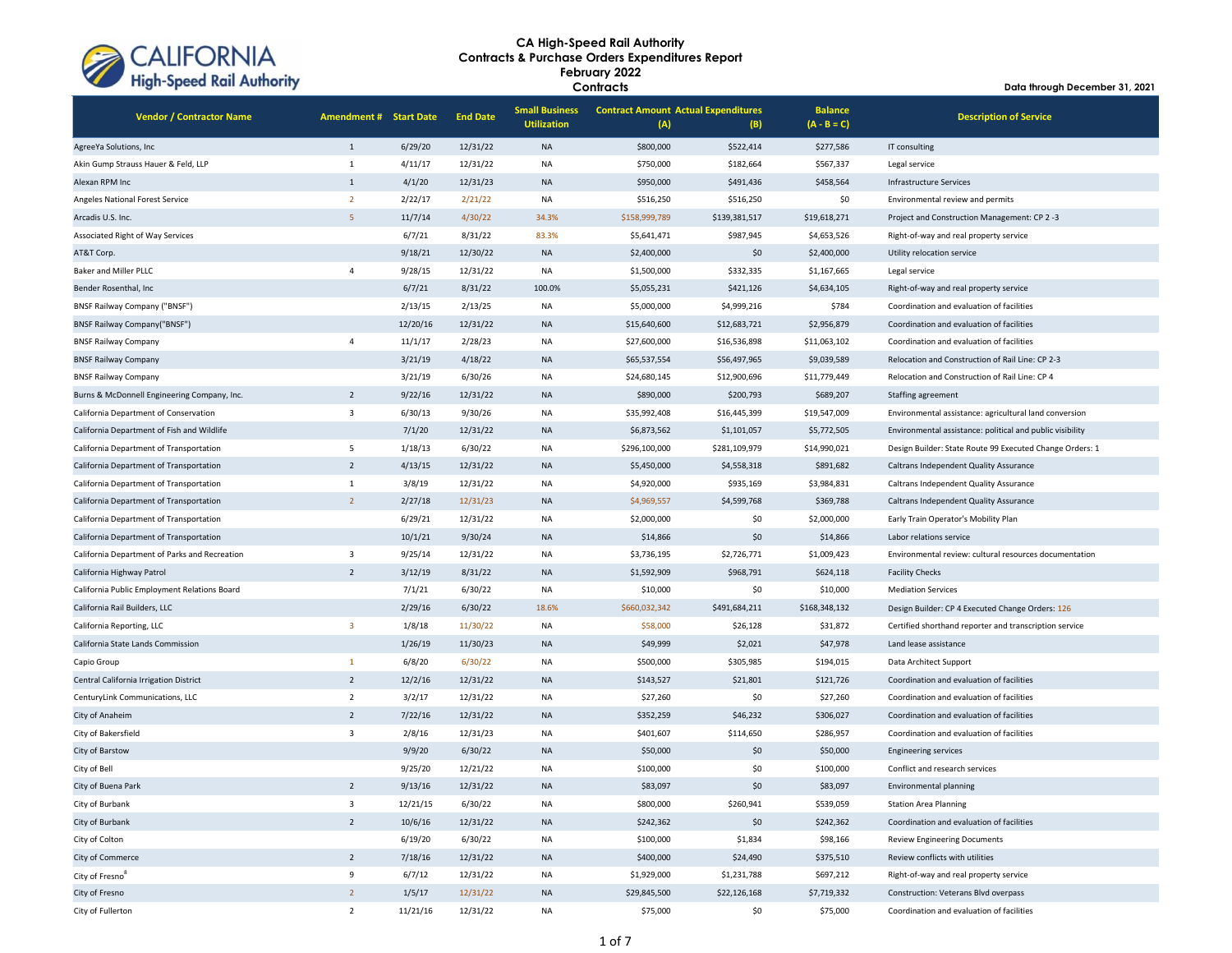

| <b>Vendor / Contractor Name</b>               | <b>Amendment # Start Date</b> |          | <b>End Date</b> | <b>Small Business</b><br><b>Utilization</b> | <b>Contract Amount Actual Expenditures</b><br>(A) | (B)           | <b>Balance</b><br>$(A - B = C)$ | <b>Description of Service</b>                             |
|-----------------------------------------------|-------------------------------|----------|-----------------|---------------------------------------------|---------------------------------------------------|---------------|---------------------------------|-----------------------------------------------------------|
| AgreeYa Solutions, Inc                        | $\mathbf{1}$                  | 6/29/20  | 12/31/22        | <b>NA</b>                                   | \$800,000                                         | \$522,414     | \$277,586                       | IT consulting                                             |
| Akin Gump Strauss Hauer & Feld, LLP           | $\mathbf{1}$                  | 4/11/17  | 12/31/22        | <b>NA</b>                                   | \$750,000                                         | \$182,664     | \$567,337                       | Legal service                                             |
| Alexan RPM Inc                                | $\mathbf{1}$                  | 4/1/20   | 12/31/23        | <b>NA</b>                                   | \$950,000                                         | \$491,436     | \$458,564                       | Infrastructure Services                                   |
| Angeles National Forest Service               | $\overline{2}$                | 2/22/17  | 2/21/22         | NA                                          | \$516,250                                         | \$516,250     | \$0                             | Environmental review and permits                          |
| Arcadis U.S. Inc.                             | 5                             | 11/7/14  | 4/30/22         | 34.3%                                       | \$158,999,789                                     | \$139,381,517 | \$19,618,271                    | Project and Construction Management: CP 2-3               |
| Associated Right of Way Services              |                               | 6/7/21   | 8/31/22         | 83.3%                                       | \$5,641,471                                       | \$987,945     | \$4,653,526                     | Right-of-way and real property service                    |
| AT&T Corp.                                    |                               | 9/18/21  | 12/30/22        | <b>NA</b>                                   | \$2,400,000                                       | \$0           | \$2,400,000                     | Utility relocation service                                |
| Baker and Miller PLLC                         | $\overline{4}$                | 9/28/15  | 12/31/22        | NA                                          | \$1,500,000                                       | \$332,335     | \$1,167,665                     | Legal service                                             |
| Bender Rosenthal, Inc.                        |                               | 6/7/21   | 8/31/22         | 100.0%                                      | \$5,055,231                                       | \$421,126     | \$4,634,105                     | Right-of-way and real property service                    |
| <b>BNSF Railway Company ("BNSF")</b>          |                               | 2/13/15  | 2/13/25         | <b>NA</b>                                   | \$5,000,000                                       | \$4,999,216   | \$784                           | Coordination and evaluation of facilities                 |
| <b>BNSF Railway Company("BNSF")</b>           |                               | 12/20/16 | 12/31/22        | <b>NA</b>                                   | \$15,640,600                                      | \$12,683,721  | \$2,956,879                     | Coordination and evaluation of facilities                 |
| <b>BNSF Railway Company</b>                   | 4                             | 11/1/17  | 2/28/23         | <b>NA</b>                                   | \$27,600,000                                      | \$16,536,898  | \$11,063,102                    | Coordination and evaluation of facilities                 |
| <b>BNSF Railway Company</b>                   |                               | 3/21/19  | 4/18/22         | <b>NA</b>                                   | \$65,537,554                                      | \$56,497,965  | \$9,039,589                     | Relocation and Construction of Rail Line: CP 2-3          |
| <b>BNSF Railway Company</b>                   |                               | 3/21/19  | 6/30/26         | NA                                          | \$24,680,145                                      | \$12,900,696  | \$11,779,449                    | Relocation and Construction of Rail Line: CP 4            |
| Burns & McDonnell Engineering Company, Inc.   | $\overline{2}$                | 9/22/16  | 12/31/22        | <b>NA</b>                                   | \$890,000                                         | \$200,793     | \$689,207                       | Staffing agreement                                        |
| California Department of Conservation         | $\overline{3}$                | 6/30/13  | 9/30/26         | <b>NA</b>                                   | \$35,992,408                                      | \$16,445,399  | \$19,547,009                    | Environmental assistance: agricultural land conversion    |
| California Department of Fish and Wildlife    |                               | 7/1/20   | 12/31/22        | <b>NA</b>                                   | \$6,873,562                                       | \$1,101,057   | \$5,772,505                     | Environmental assistance: political and public visibility |
| California Department of Transportation       | 5                             | 1/18/13  | 6/30/22         | <b>NA</b>                                   | \$296,100,000                                     | \$281,109,979 | \$14,990,021                    | Design Builder: State Route 99 Executed Change Orders: 1  |
| California Department of Transportation       | $\overline{2}$                | 4/13/15  | 12/31/22        | <b>NA</b>                                   | \$5,450,000                                       | \$4,558,318   | \$891,682                       | Caltrans Independent Quality Assurance                    |
| California Department of Transportation       | $\mathbf{1}$                  | 3/8/19   | 12/31/22        | NA                                          | \$4,920,000                                       | \$935,169     | \$3,984,831                     | Caltrans Independent Quality Assurance                    |
| California Department of Transportation       | $\overline{2}$                | 2/27/18  | 12/31/23        | <b>NA</b>                                   | \$4,969,557                                       | \$4,599,768   | \$369,788                       | Caltrans Independent Quality Assurance                    |
| California Department of Transportation       |                               | 6/29/21  | 12/31/22        | <b>NA</b>                                   | \$2,000,000                                       | \$0           | \$2,000,000                     | Early Train Operator's Mobility Plan                      |
| California Department of Transportation       |                               | 10/1/21  | 9/30/24         | <b>NA</b>                                   | \$14,866                                          | \$0           | \$14,866                        | Labor relations service                                   |
| California Department of Parks and Recreation | $\overline{3}$                | 9/25/14  | 12/31/22        | NA                                          | \$3,736,195                                       | \$2,726,771   | \$1,009,423                     | Environmental review: cultural resources documentation    |
| California Highway Patrol                     | $\overline{2}$                | 3/12/19  | 8/31/22         | <b>NA</b>                                   | \$1,592,909                                       | \$968,791     | \$624,118                       | <b>Facility Checks</b>                                    |
| California Public Employment Relations Board  |                               | 7/1/21   | 6/30/22         | NA                                          | \$10,000                                          | \$0           | \$10,000                        | <b>Mediation Services</b>                                 |
| California Rail Builders, LLC                 |                               | 2/29/16  | 6/30/22         | 18.6%                                       | \$660,032,342                                     | \$491,684,211 | \$168,348,132                   | Design Builder: CP 4 Executed Change Orders: 126          |
| California Reporting, LLC                     | $\overline{\mathbf{3}}$       | 1/8/18   | 11/30/22        | <b>NA</b>                                   | \$58,000                                          | \$26,128      | \$31,872                        | Certified shorthand reporter and transcription service    |
| California State Lands Commission             |                               | 1/26/19  | 11/30/23        | <b>NA</b>                                   | \$49,999                                          | \$2,021       | \$47,978                        | Land lease assistance                                     |
| Capio Group                                   | $\mathbf{1}$                  | 6/8/20   | 6/30/22         | <b>NA</b>                                   | \$500,000                                         | \$305,985     | \$194,015                       | Data Architect Support                                    |
| Central California Irrigation District        | $\overline{2}$                | 12/2/16  | 12/31/22        | <b>NA</b>                                   | \$143,527                                         | \$21,801      | \$121,726                       | Coordination and evaluation of facilities                 |
| CenturyLink Communications, LLC               | $\overline{2}$                | 3/2/17   | 12/31/22        | <b>NA</b>                                   | \$27,260                                          | \$0           | \$27,260                        | Coordination and evaluation of facilities                 |
| City of Anaheim                               | $\overline{2}$                | 7/22/16  | 12/31/22        | <b>NA</b>                                   | \$352,259                                         | \$46,232      | \$306,027                       | Coordination and evaluation of facilities                 |
| City of Bakersfield                           | $\overline{\mathbf{3}}$       | 2/8/16   | 12/31/23        | <b>NA</b>                                   | \$401,607                                         | \$114,650     | \$286,957                       | Coordination and evaluation of facilities                 |
| City of Barstow                               |                               | 9/9/20   | 6/30/22         | <b>NA</b>                                   | \$50,000                                          | \$0           | \$50,000                        | <b>Engineering services</b>                               |
| City of Bell                                  |                               | 9/25/20  | 12/21/22        | <b>NA</b>                                   | \$100,000                                         | \$0           | \$100,000                       | Conflict and research services                            |
| City of Buena Park                            | $\overline{2}$                | 9/13/16  | 12/31/22        | <b>NA</b>                                   | \$83,097                                          | \$0           | \$83,097                        | <b>Environmental planning</b>                             |
| City of Burbank                               | $\overline{\mathbf{3}}$       | 12/21/15 | 6/30/22         | <b>NA</b>                                   | \$800,000                                         | \$260,941     | \$539,059                       | <b>Station Area Planning</b>                              |
| City of Burbank                               | $\overline{2}$                | 10/6/16  | 12/31/22        | <b>NA</b>                                   | \$242,362                                         | \$0           | \$242,362                       | Coordination and evaluation of facilities                 |
| City of Colton                                |                               | 6/19/20  | 6/30/22         | NA                                          | \$100,000                                         | \$1,834       | \$98,166                        | <b>Review Engineering Documents</b>                       |
| City of Commerce                              | $\overline{2}$                | 7/18/16  | 12/31/22        | <b>NA</b>                                   | \$400,000                                         | \$24,490      | \$375,510                       | Review conflicts with utilities                           |
| City of Fresno <sup>8</sup>                   | 9                             | 6/7/12   | 12/31/22        | NA                                          | \$1,929,000                                       | \$1,231,788   | \$697,212                       | Right-of-way and real property service                    |
| City of Fresno                                | $\overline{2}$                | 1/5/17   | 12/31/22        | <b>NA</b>                                   | \$29,845,500                                      | \$22,126,168  | \$7,719,332                     | Construction: Veterans Blvd overpass                      |
| City of Fullerton                             | $\overline{2}$                | 11/21/16 | 12/31/22        | <b>NA</b>                                   | \$75,000                                          | \$0           | \$75,000                        | Coordination and evaluation of facilities                 |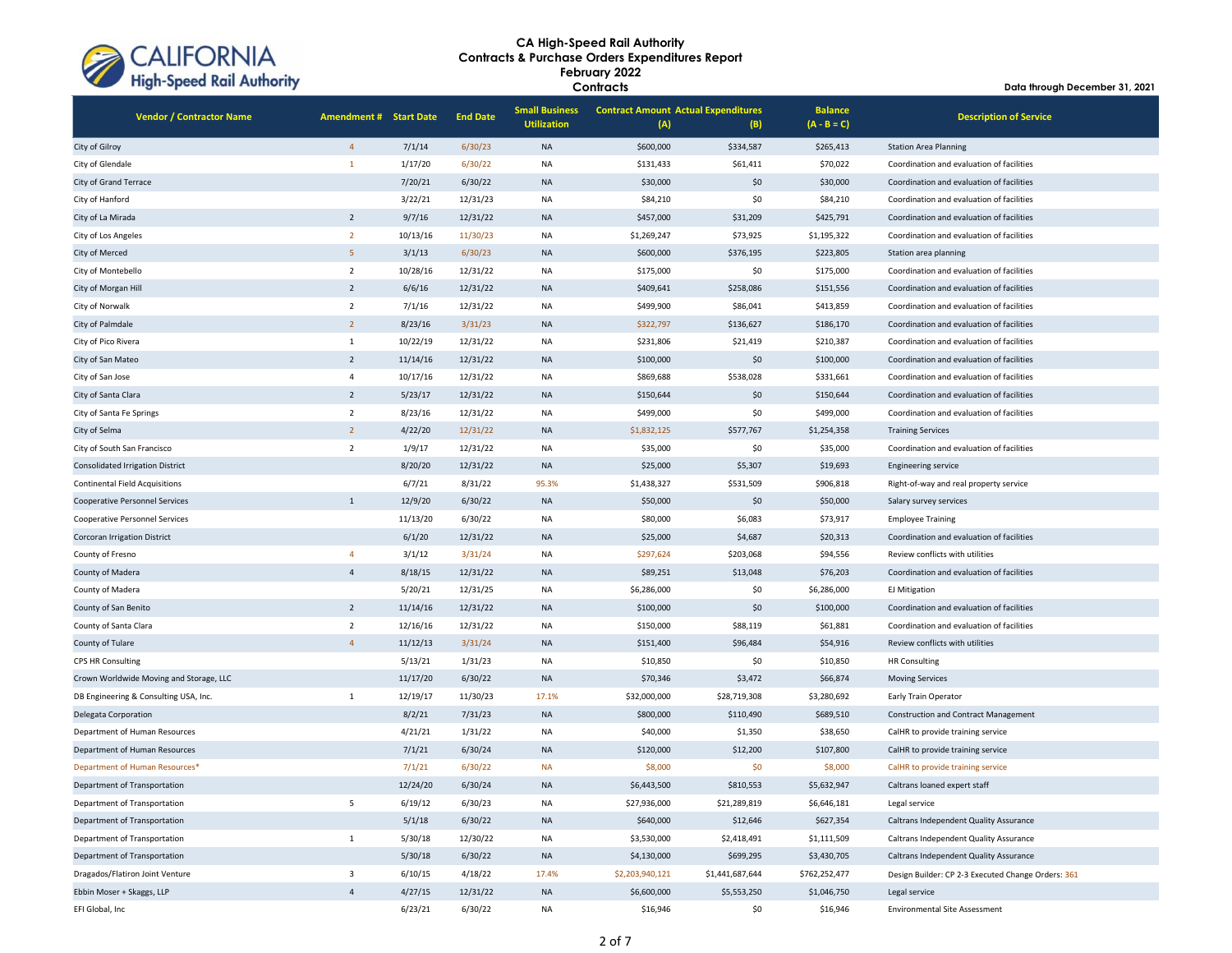

| <b>Vendor / Contractor Name</b>         | <b>Amendment # Start Date</b> |          | <b>End Date</b> | <b>Small Business</b><br><b>Utilization</b> | <b>Contract Amount Actual Expenditures</b><br>(A) | (B)             | <b>Balance</b><br>$(A - B = C)$ | <b>Description of Service</b>                      |
|-----------------------------------------|-------------------------------|----------|-----------------|---------------------------------------------|---------------------------------------------------|-----------------|---------------------------------|----------------------------------------------------|
| City of Gilroy                          | $\overline{4}$                | 7/1/14   | 6/30/23         | <b>NA</b>                                   | \$600,000                                         | \$334,587       | \$265,413                       | <b>Station Area Planning</b>                       |
| City of Glendale                        | $\mathbf{1}$                  | 1/17/20  | 6/30/22         | <b>NA</b>                                   | \$131,433                                         | \$61,411        | \$70,022                        | Coordination and evaluation of facilities          |
| City of Grand Terrace                   |                               | 7/20/21  | 6/30/22         | <b>NA</b>                                   | \$30,000                                          | \$0             | \$30,000                        | Coordination and evaluation of facilities          |
| City of Hanford                         |                               | 3/22/21  | 12/31/23        | <b>NA</b>                                   | \$84,210                                          | \$0             | \$84,210                        | Coordination and evaluation of facilities          |
| City of La Mirada                       | $\overline{2}$                | 9/7/16   | 12/31/22        | <b>NA</b>                                   | \$457,000                                         | \$31,209        | \$425,791                       | Coordination and evaluation of facilities          |
| City of Los Angeles                     | $\overline{2}$                | 10/13/16 | 11/30/23        | <b>NA</b>                                   | \$1,269,247                                       | \$73,925        | \$1,195,322                     | Coordination and evaluation of facilities          |
| City of Merced                          | 5                             | 3/1/13   | 6/30/23         | <b>NA</b>                                   | \$600,000                                         | \$376,195       | \$223,805                       | Station area planning                              |
| City of Montebello                      | $\overline{2}$                | 10/28/16 | 12/31/22        | <b>NA</b>                                   | \$175,000                                         | \$0             | \$175,000                       | Coordination and evaluation of facilities          |
| City of Morgan Hill                     | $\overline{2}$                | 6/6/16   | 12/31/22        | <b>NA</b>                                   | \$409,641                                         | \$258,086       | \$151,556                       | Coordination and evaluation of facilities          |
| City of Norwalk                         | $\overline{2}$                | 7/1/16   | 12/31/22        | <b>NA</b>                                   | \$499,900                                         | \$86,041        | \$413,859                       | Coordination and evaluation of facilities          |
| City of Palmdale                        | $\overline{2}$                | 8/23/16  | 3/31/23         | <b>NA</b>                                   | \$322,797                                         | \$136,627       | \$186,170                       | Coordination and evaluation of facilities          |
| City of Pico Rivera                     | $\mathbf{1}$                  | 10/22/19 | 12/31/22        | <b>NA</b>                                   | \$231,806                                         | \$21,419        | \$210,387                       | Coordination and evaluation of facilities          |
| City of San Mateo                       | $\overline{2}$                | 11/14/16 | 12/31/22        | <b>NA</b>                                   | \$100,000                                         | \$0             | \$100,000                       | Coordination and evaluation of facilities          |
| City of San Jose                        | $\overline{4}$                | 10/17/16 | 12/31/22        | <b>NA</b>                                   | \$869,688                                         | \$538,028       | \$331,661                       | Coordination and evaluation of facilities          |
| City of Santa Clara                     | $\overline{2}$                | 5/23/17  | 12/31/22        | <b>NA</b>                                   | \$150,644                                         | \$0             | \$150,644                       | Coordination and evaluation of facilities          |
| City of Santa Fe Springs                | $\overline{2}$                | 8/23/16  | 12/31/22        | <b>NA</b>                                   | \$499,000                                         | \$0             | \$499,000                       | Coordination and evaluation of facilities          |
| City of Selma                           | $\overline{2}$                | 4/22/20  | 12/31/22        | <b>NA</b>                                   | \$1,832,125                                       | \$577,767       | \$1,254,358                     | <b>Training Services</b>                           |
| City of South San Francisco             | $\overline{2}$                | 1/9/17   | 12/31/22        | <b>NA</b>                                   | \$35,000                                          | \$0             | \$35,000                        | Coordination and evaluation of facilities          |
| Consolidated Irrigation District        |                               | 8/20/20  | 12/31/22        | <b>NA</b>                                   | \$25,000                                          | \$5,307         | \$19,693                        | <b>Engineering service</b>                         |
| <b>Continental Field Acquisitions</b>   |                               | 6/7/21   | 8/31/22         | 95.3%                                       | \$1,438,327                                       | \$531,509       | \$906,818                       | Right-of-way and real property service             |
| Cooperative Personnel Services          | $\mathbf{1}$                  | 12/9/20  | 6/30/22         | <b>NA</b>                                   | \$50,000                                          | \$0             | \$50,000                        | Salary survey services                             |
| Cooperative Personnel Services          |                               | 11/13/20 | 6/30/22         | <b>NA</b>                                   | \$80,000                                          | \$6,083         | \$73,917                        | <b>Employee Training</b>                           |
| Corcoran Irrigation District            |                               | 6/1/20   | 12/31/22        | <b>NA</b>                                   | \$25,000                                          | \$4,687         | \$20,313                        | Coordination and evaluation of facilities          |
| County of Fresno                        | $\overline{4}$                | 3/1/12   | 3/31/24         | <b>NA</b>                                   | \$297,624                                         | \$203,068       | \$94,556                        | Review conflicts with utilities                    |
| County of Madera                        | $\overline{4}$                | 8/18/15  | 12/31/22        | <b>NA</b>                                   | \$89,251                                          | \$13,048        | \$76,203                        | Coordination and evaluation of facilities          |
| County of Madera                        |                               | 5/20/21  | 12/31/25        | <b>NA</b>                                   | \$6,286,000                                       | \$0             | \$6,286,000                     | <b>EJ Mitigation</b>                               |
| County of San Benito                    | $\overline{2}$                | 11/14/16 | 12/31/22        | <b>NA</b>                                   | \$100,000                                         | \$0             | \$100,000                       | Coordination and evaluation of facilities          |
| County of Santa Clara                   | $\overline{2}$                | 12/16/16 | 12/31/22        | <b>NA</b>                                   | \$150,000                                         | \$88,119        | \$61,881                        | Coordination and evaluation of facilities          |
| County of Tulare                        | $\overline{4}$                | 11/12/13 | 3/31/24         | <b>NA</b>                                   | \$151,400                                         | \$96,484        | \$54,916                        | Review conflicts with utilities                    |
| <b>CPS HR Consulting</b>                |                               | 5/13/21  | 1/31/23         | <b>NA</b>                                   | \$10,850                                          | \$0             | \$10,850                        | <b>HR Consulting</b>                               |
| Crown Worldwide Moving and Storage, LLC |                               | 11/17/20 | 6/30/22         | <b>NA</b>                                   | \$70,346                                          | \$3,472         | \$66,874                        | <b>Moving Services</b>                             |
| DB Engineering & Consulting USA, Inc.   | 1                             | 12/19/17 | 11/30/23        | 17.1%                                       | \$32,000,000                                      | \$28,719,308    | \$3,280,692                     | Early Train Operator                               |
| Delegata Corporation                    |                               | 8/2/21   | 7/31/23         | <b>NA</b>                                   | \$800,000                                         | \$110,490       | \$689,510                       | <b>Construction and Contract Management</b>        |
| Department of Human Resources           |                               | 4/21/21  | 1/31/22         | <b>NA</b>                                   | \$40,000                                          | \$1,350         | \$38,650                        | CalHR to provide training service                  |
| Department of Human Resources           |                               | 7/1/21   | 6/30/24         | <b>NA</b>                                   | \$120,000                                         | \$12,200        | \$107,800                       | CalHR to provide training service                  |
| Department of Human Resources*          |                               | 7/1/21   | 6/30/22         | <b>NA</b>                                   | \$8,000                                           | \$0             | \$8,000                         | CalHR to provide training service                  |
| Department of Transportation            |                               | 12/24/20 | 6/30/24         | <b>NA</b>                                   | \$6,443,500                                       | \$810,553       | \$5,632,947                     | Caltrans loaned expert staff                       |
| Department of Transportation            | 5                             | 6/19/12  | 6/30/23         | NA                                          | \$27,936,000                                      | \$21,289,819    | \$6,646,181                     | Legal service                                      |
| Department of Transportation            |                               | 5/1/18   | 6/30/22         | <b>NA</b>                                   | \$640,000                                         | \$12,646        | \$627,354                       | Caltrans Independent Quality Assurance             |
| Department of Transportation            | $\mathbf{1}$                  | 5/30/18  | 12/30/22        | <b>NA</b>                                   | \$3,530,000                                       | \$2,418,491     | \$1,111,509                     | Caltrans Independent Quality Assurance             |
| Department of Transportation            |                               | 5/30/18  | 6/30/22         | <b>NA</b>                                   | \$4,130,000                                       | \$699,295       | \$3,430,705                     | Caltrans Independent Quality Assurance             |
| Dragados/Flatiron Joint Venture         | $\overline{\mathbf{3}}$       | 6/10/15  | 4/18/22         | 17.4%                                       | \$2,203,940,121                                   | \$1,441,687,644 | \$762,252,477                   | Design Builder: CP 2-3 Executed Change Orders: 361 |
| Ebbin Moser + Skaggs, LLP               | $\overline{4}$                | 4/27/15  | 12/31/22        | <b>NA</b>                                   | \$6,600,000                                       | \$5,553,250     | \$1,046,750                     | Legal service                                      |
| EFI Global, Inc                         |                               | 6/23/21  | 6/30/22         | <b>NA</b>                                   | \$16,946                                          | \$0             | \$16,946                        | <b>Environmental Site Assessment</b>               |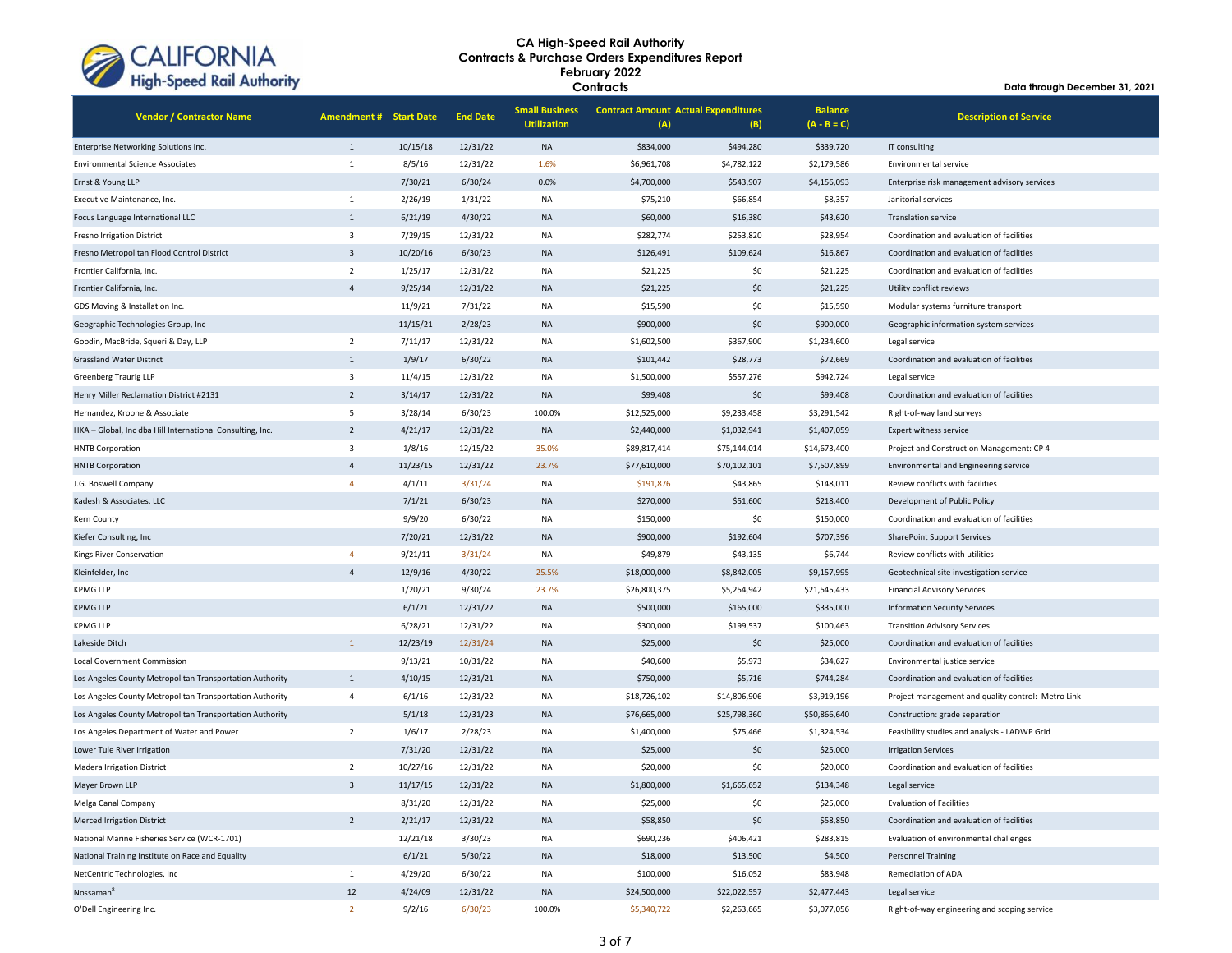

| <b>Vendor / Contractor Name</b>                           | <b>Amendment # Start Date</b> |          | <b>End Date</b> | <b>Small Business</b><br><b>Utilization</b> | <b>Contract Amount Actual Expenditures</b><br>(A) | (B)          | <b>Balance</b><br>$(A - B = C)$ | <b>Description of Service</b>                      |
|-----------------------------------------------------------|-------------------------------|----------|-----------------|---------------------------------------------|---------------------------------------------------|--------------|---------------------------------|----------------------------------------------------|
| Enterprise Networking Solutions Inc.                      | $\mathbf{1}$                  | 10/15/18 | 12/31/22        | <b>NA</b>                                   | \$834,000                                         | \$494,280    | \$339,720                       | IT consulting                                      |
| <b>Environmental Science Associates</b>                   | $\mathbf{1}$                  | 8/5/16   | 12/31/22        | 1.6%                                        | \$6,961,708                                       | \$4,782,122  | \$2,179,586                     | Environmental service                              |
| Ernst & Young LLP                                         |                               | 7/30/21  | 6/30/24         | 0.0%                                        | \$4,700,000                                       | \$543,907    | \$4,156,093                     | Enterprise risk management advisory services       |
| Executive Maintenance, Inc.                               | $\mathbf{1}$                  | 2/26/19  | 1/31/22         | <b>NA</b>                                   | \$75,210                                          | \$66,854     | \$8,357                         | Janitorial services                                |
| Focus Language International LLC                          | $\mathbf{1}$                  | 6/21/19  | 4/30/22         | <b>NA</b>                                   | \$60,000                                          | \$16,380     | \$43,620                        | <b>Translation service</b>                         |
| Fresno Irrigation District                                | $\overline{\mathbf{3}}$       | 7/29/15  | 12/31/22        | NA                                          | \$282,774                                         | \$253,820    | \$28,954                        | Coordination and evaluation of facilities          |
| Fresno Metropolitan Flood Control District                | $\overline{3}$                | 10/20/16 | 6/30/23         | <b>NA</b>                                   | \$126,491                                         | \$109,624    | \$16,867                        | Coordination and evaluation of facilities          |
| Frontier California, Inc.                                 | $\overline{2}$                | 1/25/17  | 12/31/22        | ΝA                                          | \$21,225                                          | \$0          | \$21,225                        | Coordination and evaluation of facilities          |
| Frontier California, Inc.                                 | $\overline{4}$                | 9/25/14  | 12/31/22        | <b>NA</b>                                   | \$21,225                                          | \$0          | \$21,225                        | Utility conflict reviews                           |
| GDS Moving & Installation Inc.                            |                               | 11/9/21  | 7/31/22         | <b>NA</b>                                   | \$15,590                                          | \$0          | \$15,590                        | Modular systems furniture transport                |
| Geographic Technologies Group, Inc                        |                               | 11/15/21 | 2/28/23         | <b>NA</b>                                   | \$900,000                                         | \$0          | \$900,000                       | Geographic information system services             |
| Goodin, MacBride, Squeri & Day, LLP                       | $\overline{2}$                | 7/11/17  | 12/31/22        | <b>NA</b>                                   | \$1,602,500                                       | \$367,900    | \$1,234,600                     | Legal service                                      |
| <b>Grassland Water District</b>                           | 1                             | 1/9/17   | 6/30/22         | <b>NA</b>                                   | \$101,442                                         | \$28,773     | \$72,669                        | Coordination and evaluation of facilities          |
| Greenberg Traurig LLP                                     | 3                             | 11/4/15  | 12/31/22        | NA                                          | \$1,500,000                                       | \$557,276    | \$942,724                       | Legal service                                      |
| Henry Miller Reclamation District #2131                   | $\overline{2}$                | 3/14/17  | 12/31/22        | <b>NA</b>                                   | \$99,408                                          | \$0          | \$99,408                        | Coordination and evaluation of facilities          |
| Hernandez, Kroone & Associate                             | 5                             | 3/28/14  | 6/30/23         | 100.0%                                      | \$12,525,000                                      | \$9,233,458  | \$3,291,542                     | Right-of-way land surveys                          |
| HKA - Global, Inc dba Hill International Consulting, Inc. | $\overline{2}$                | 4/21/17  | 12/31/22        | <b>NA</b>                                   | \$2,440,000                                       | \$1,032,941  | \$1,407,059                     | Expert witness service                             |
| <b>HNTB Corporation</b>                                   | 3                             | 1/8/16   | 12/15/22        | 35.0%                                       | \$89,817,414                                      | \$75,144,014 | \$14,673,400                    | Project and Construction Management: CP 4          |
| <b>HNTB Corporation</b>                                   | $\overline{4}$                | 11/23/15 | 12/31/22        | 23.7%                                       | \$77,610,000                                      | \$70,102,101 | \$7,507,899                     | Environmental and Engineering service              |
| J.G. Boswell Company                                      | $\overline{4}$                | 4/1/11   | 3/31/24         | <b>NA</b>                                   | \$191,876                                         | \$43,865     | \$148,011                       | Review conflicts with facilities                   |
| Kadesh & Associates, LLC                                  |                               | 7/1/21   | 6/30/23         | <b>NA</b>                                   | \$270,000                                         | \$51,600     | \$218,400                       | Development of Public Policy                       |
| Kern County                                               |                               | 9/9/20   | 6/30/22         | <b>NA</b>                                   | \$150,000                                         | \$0          | \$150,000                       | Coordination and evaluation of facilities          |
| Kiefer Consulting, Inc.                                   |                               | 7/20/21  | 12/31/22        | <b>NA</b>                                   | \$900,000                                         | \$192,604    | \$707,396                       | <b>SharePoint Support Services</b>                 |
| Kings River Conservation                                  | $\overline{4}$                | 9/21/11  | 3/31/24         | NA                                          | \$49,879                                          | \$43,135     | \$6,744                         | Review conflicts with utilities                    |
| Kleinfelder, Inc.                                         | $\overline{4}$                | 12/9/16  | 4/30/22         | 25.5%                                       | \$18,000,000                                      | \$8,842,005  | \$9,157,995                     | Geotechnical site investigation service            |
| <b>KPMG LLP</b>                                           |                               | 1/20/21  | 9/30/24         | 23.7%                                       | \$26,800,375                                      | \$5,254,942  | \$21,545,433                    | <b>Financial Advisory Services</b>                 |
| <b>KPMG LLP</b>                                           |                               | 6/1/21   | 12/31/22        | <b>NA</b>                                   | \$500,000                                         | \$165,000    | \$335,000                       | <b>Information Security Services</b>               |
| <b>KPMG LLP</b>                                           |                               | 6/28/21  | 12/31/22        | ΝA                                          | \$300,000                                         | \$199,537    | \$100,463                       | <b>Transition Advisory Services</b>                |
| Lakeside Ditch                                            | $\mathbf{1}$                  | 12/23/19 | 12/31/24        | <b>NA</b>                                   | \$25,000                                          | \$0          | \$25,000                        | Coordination and evaluation of facilities          |
| Local Government Commission                               |                               | 9/13/21  | 10/31/22        | <b>NA</b>                                   | \$40,600                                          | \$5,973      | \$34,627                        | Environmental justice service                      |
| Los Angeles County Metropolitan Transportation Authority  | $\mathbf{1}$                  | 4/10/15  | 12/31/21        | <b>NA</b>                                   | \$750,000                                         | \$5,716      | \$744,284                       | Coordination and evaluation of facilities          |
| Los Angeles County Metropolitan Transportation Authority  | $\overline{4}$                | 6/1/16   | 12/31/22        | <b>NA</b>                                   | \$18,726,102                                      | \$14,806,906 | \$3,919,196                     | Project management and quality control: Metro Link |
| Los Angeles County Metropolitan Transportation Authority  |                               | 5/1/18   | 12/31/23        | <b>NA</b>                                   | \$76,665,000                                      | \$25,798,360 | \$50,866,640                    | Construction: grade separation                     |
| Los Angeles Department of Water and Power                 | $\overline{2}$                | 1/6/17   | 2/28/23         | NA                                          | \$1,400,000                                       | \$75,466     | \$1,324,534                     | Feasibility studies and analysis - LADWP Grid      |
| Lower Tule River Irrigation                               |                               | 7/31/20  | 12/31/22        | <b>NA</b>                                   | \$25,000                                          | \$0          | \$25,000                        | <b>Irrigation Services</b>                         |
| <b>Madera Irrigation District</b>                         | $\overline{2}$                | 10/27/16 | 12/31/22        | NA                                          | \$20,000                                          | \$0          | \$20,000                        | Coordination and evaluation of facilities          |
| Mayer Brown LLP                                           | $\overline{3}$                | 11/17/15 | 12/31/22        | <b>NA</b>                                   | \$1,800,000                                       | \$1,665,652  | \$134,348                       | Legal service                                      |
| Melga Canal Company                                       |                               | 8/31/20  | 12/31/22        | <b>NA</b>                                   | \$25,000                                          | \$0          | \$25,000                        | <b>Evaluation of Facilities</b>                    |
| <b>Merced Irrigation District</b>                         | $\overline{2}$                | 2/21/17  | 12/31/22        | <b>NA</b>                                   | \$58,850                                          | \$0          | \$58,850                        | Coordination and evaluation of facilities          |
| National Marine Fisheries Service (WCR-1701)              |                               | 12/21/18 | 3/30/23         | <b>NA</b>                                   | \$690,236                                         | \$406,421    | \$283,815                       | Evaluation of environmental challenges             |
| National Training Institute on Race and Equality          |                               | 6/1/21   | 5/30/22         | <b>NA</b>                                   | \$18,000                                          | \$13,500     | \$4,500                         | <b>Personnel Training</b>                          |
| NetCentric Technologies, Inc                              | $\mathbf{1}$                  | 4/29/20  | 6/30/22         | <b>NA</b>                                   | \$100,000                                         | \$16,052     | \$83,948                        | Remediation of ADA                                 |
| Nossaman <sup>8</sup>                                     | 12                            | 4/24/09  | 12/31/22        | NA                                          | \$24,500,000                                      | \$22,022,557 | \$2,477,443                     | Legal service                                      |
| O'Dell Engineering Inc.                                   | $\overline{2}$                | 9/2/16   | 6/30/23         | 100.0%                                      | \$5,340,722                                       | \$2,263,665  | \$3,077,056                     | Right-of-way engineering and scoping service       |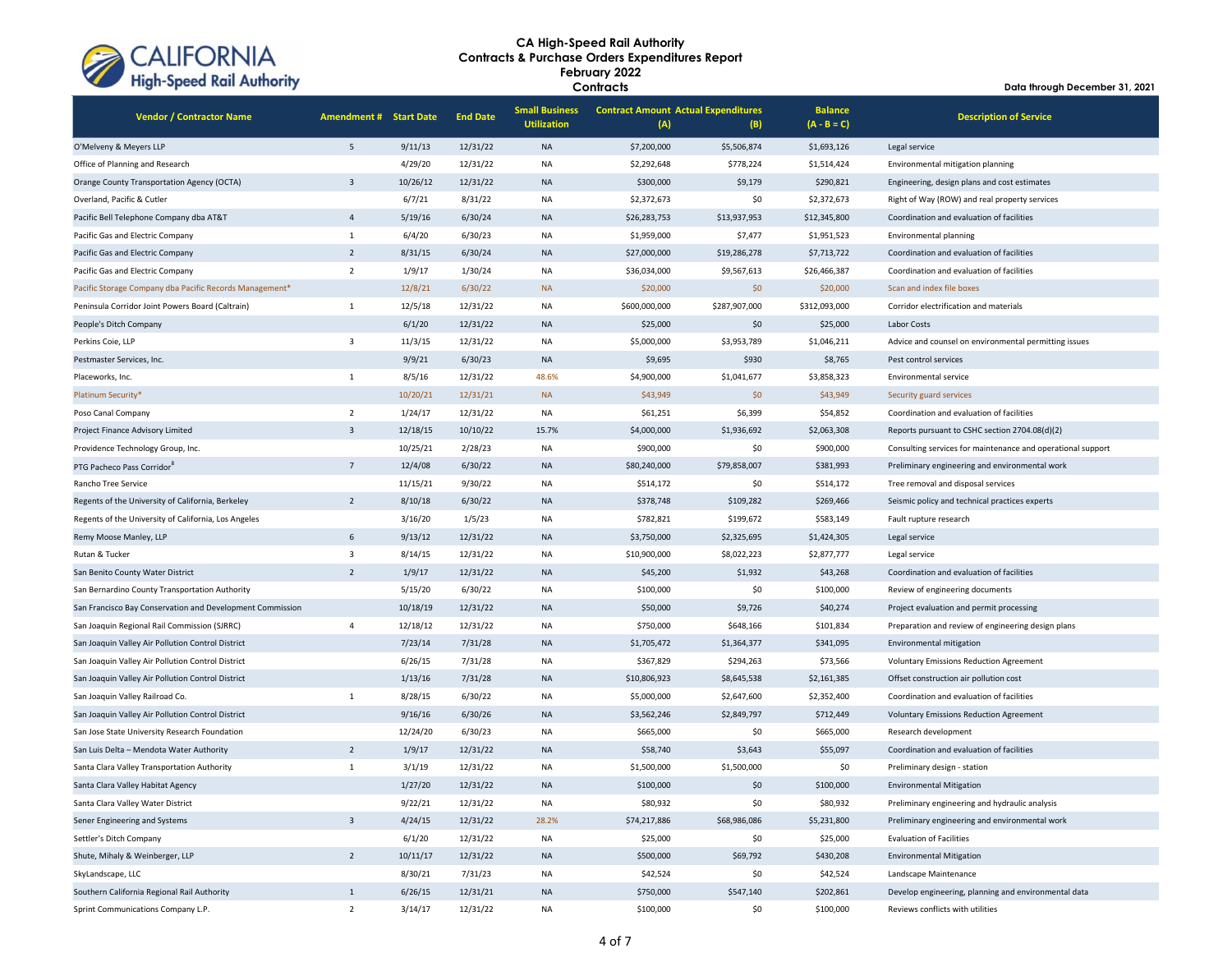

| <b>Vendor / Contractor Name</b>                           | <b>Amendment # Start Date</b> |          | <b>End Date</b> | <b>Small Business</b><br><b>Utilization</b> | <b>Contract Amount Actual Expenditures</b><br>(A) | (B)           | <b>Balance</b><br>$(A - B = C)$ | <b>Description of Service</b>                               |  |
|-----------------------------------------------------------|-------------------------------|----------|-----------------|---------------------------------------------|---------------------------------------------------|---------------|---------------------------------|-------------------------------------------------------------|--|
| O'Melveny & Meyers LLP                                    | 5                             | 9/11/13  | 12/31/22        | <b>NA</b>                                   | \$7,200,000                                       | \$5,506,874   | \$1,693,126                     | Legal service                                               |  |
| Office of Planning and Research                           |                               | 4/29/20  | 12/31/22        | <b>NA</b>                                   | \$2,292,648                                       | \$778,224     | \$1,514,424                     | Environmental mitigation planning                           |  |
| Orange County Transportation Agency (OCTA)                | $\overline{3}$                | 10/26/12 | 12/31/22        | <b>NA</b>                                   | \$300,000                                         | \$9,179       | \$290,821                       | Engineering, design plans and cost estimates                |  |
| Overland, Pacific & Cutler                                |                               | 6/7/21   | 8/31/22         | <b>NA</b>                                   | \$2,372,673                                       | \$0           | \$2,372,673                     | Right of Way (ROW) and real property services               |  |
| Pacific Bell Telephone Company dba AT&T                   | $\overline{4}$                | 5/19/16  | 6/30/24         | <b>NA</b>                                   | \$26,283,753                                      | \$13,937,953  | \$12,345,800                    | Coordination and evaluation of facilities                   |  |
| Pacific Gas and Electric Company                          | $1\,$                         | 6/4/20   | 6/30/23         | <b>NA</b>                                   | \$1,959,000                                       | \$7,477       | \$1,951,523                     | Environmental planning                                      |  |
| Pacific Gas and Electric Company                          | $\overline{2}$                | 8/31/15  | 6/30/24         | <b>NA</b>                                   | \$27,000,000                                      | \$19,286,278  | \$7,713,722                     | Coordination and evaluation of facilities                   |  |
| Pacific Gas and Electric Company                          | $\overline{2}$                | 1/9/17   | 1/30/24         | <b>NA</b>                                   | \$36,034,000                                      | \$9,567,613   | \$26,466,387                    | Coordination and evaluation of facilities                   |  |
| Pacific Storage Company dba Pacific Records Management*   |                               | 12/8/21  | 6/30/22         | <b>NA</b>                                   | \$20,000                                          | \$0           | \$20,000                        | Scan and index file boxes                                   |  |
| Peninsula Corridor Joint Powers Board (Caltrain)          | $\mathbf{1}$                  | 12/5/18  | 12/31/22        | <b>NA</b>                                   | \$600,000,000                                     | \$287,907,000 | \$312,093,000                   | Corridor electrification and materials                      |  |
| People's Ditch Company                                    |                               | 6/1/20   | 12/31/22        | <b>NA</b>                                   | \$25,000                                          | \$0           | \$25,000                        | Labor Costs                                                 |  |
| Perkins Coie, LLP                                         | $\overline{\mathbf{3}}$       | 11/3/15  | 12/31/22        | <b>NA</b>                                   | \$5,000,000                                       | \$3,953,789   | \$1,046,211                     | Advice and counsel on environmental permitting issues       |  |
| Pestmaster Services, Inc.                                 |                               | 9/9/21   | 6/30/23         | <b>NA</b>                                   | \$9,695                                           | \$930         | \$8,765                         | Pest control services                                       |  |
| Placeworks, Inc.                                          | $\mathbf 1$                   | 8/5/16   | 12/31/22        | 48.6%                                       | \$4,900,000                                       | \$1,041,677   | \$3,858,323                     | Environmental service                                       |  |
| Platinum Security*                                        |                               | 10/20/21 | 12/31/21        | <b>NA</b>                                   | \$43,949                                          | \$0           | \$43,949                        | Security guard services                                     |  |
| Poso Canal Company                                        | $\overline{2}$                | 1/24/17  | 12/31/22        | <b>NA</b>                                   | \$61,251                                          | \$6,399       | \$54,852                        | Coordination and evaluation of facilities                   |  |
| Project Finance Advisory Limited                          | $\overline{3}$                | 12/18/15 | 10/10/22        | 15.7%                                       | \$4,000,000                                       | \$1,936,692   | \$2,063,308                     | Reports pursuant to CSHC section 2704.08(d)(2)              |  |
| Providence Technology Group, Inc.                         |                               | 10/25/21 | 2/28/23         | <b>NA</b>                                   | \$900,000                                         | \$0           | \$900,000                       | Consulting services for maintenance and operational support |  |
| PTG Pacheco Pass Corridor <sup>8</sup>                    | $\overline{7}$                | 12/4/08  | 6/30/22         | <b>NA</b>                                   | \$80,240,000                                      | \$79,858,007  | \$381,993                       | Preliminary engineering and environmental work              |  |
| Rancho Tree Service                                       |                               | 11/15/21 | 9/30/22         | <b>NA</b>                                   | \$514,172                                         | \$0           | \$514,172                       | Tree removal and disposal services                          |  |
| Regents of the University of California, Berkeley         | $\overline{2}$                | 8/10/18  | 6/30/22         | <b>NA</b>                                   | \$378,748                                         | \$109,282     | \$269,466                       | Seismic policy and technical practices experts              |  |
| Regents of the University of California, Los Angeles      |                               | 3/16/20  | 1/5/23          | <b>NA</b>                                   | \$782,821                                         | \$199,672     | \$583,149                       | Fault rupture research                                      |  |
| Remy Moose Manley, LLP                                    | 6                             | 9/13/12  | 12/31/22        | <b>NA</b>                                   | \$3,750,000                                       | \$2,325,695   | \$1,424,305                     | Legal service                                               |  |
| Rutan & Tucker                                            | $\overline{\mathbf{3}}$       | 8/14/15  | 12/31/22        | <b>NA</b>                                   | \$10,900,000                                      | \$8,022,223   | \$2,877,777                     | Legal service                                               |  |
| San Benito County Water District                          | $\overline{2}$                | 1/9/17   | 12/31/22        | <b>NA</b>                                   | \$45,200                                          | \$1,932       | \$43,268                        | Coordination and evaluation of facilities                   |  |
| San Bernardino County Transportation Authority            |                               | 5/15/20  | 6/30/22         | <b>NA</b>                                   | \$100,000                                         | \$0           | \$100,000                       | Review of engineering documents                             |  |
| San Francisco Bay Conservation and Development Commission |                               | 10/18/19 | 12/31/22        | <b>NA</b>                                   | \$50,000                                          | \$9,726       | \$40,274                        | Project evaluation and permit processing                    |  |
| San Joaquin Regional Rail Commission (SJRRC)              | $\sqrt{4}$                    | 12/18/12 | 12/31/22        | <b>NA</b>                                   | \$750,000                                         | \$648,166     | \$101,834                       | Preparation and review of engineering design plans          |  |
| San Joaquin Valley Air Pollution Control District         |                               | 7/23/14  | 7/31/28         | <b>NA</b>                                   | \$1,705,472                                       | \$1,364,377   | \$341,095                       | Environmental mitigation                                    |  |
| San Joaquin Valley Air Pollution Control District         |                               | 6/26/15  | 7/31/28         | <b>NA</b>                                   | \$367,829                                         | \$294,263     | \$73,566                        | <b>Voluntary Emissions Reduction Agreement</b>              |  |
| San Joaquin Valley Air Pollution Control District         |                               | 1/13/16  | 7/31/28         | <b>NA</b>                                   | \$10,806,923                                      | \$8,645,538   | \$2,161,385                     | Offset construction air pollution cost                      |  |
| San Joaquin Valley Railroad Co.                           | $\mathbf{1}$                  | 8/28/15  | 6/30/22         | <b>NA</b>                                   | \$5,000,000                                       | \$2,647,600   | \$2,352,400                     | Coordination and evaluation of facilities                   |  |
| San Joaquin Valley Air Pollution Control District         |                               | 9/16/16  | 6/30/26         | <b>NA</b>                                   | \$3,562,246                                       | \$2,849,797   | \$712,449                       | <b>Voluntary Emissions Reduction Agreement</b>              |  |
| San Jose State University Research Foundation             |                               | 12/24/20 | 6/30/23         | <b>NA</b>                                   | \$665,000                                         | \$0           | \$665,000                       | Research development                                        |  |
| San Luis Delta - Mendota Water Authority                  | $\overline{2}$                | 1/9/17   | 12/31/22        | <b>NA</b>                                   | \$58,740                                          | \$3,643       | \$55,097                        | Coordination and evaluation of facilities                   |  |
| Santa Clara Valley Transportation Authority               | $\mathbf{1}$                  | 3/1/19   | 12/31/22        | <b>NA</b>                                   | \$1,500,000                                       | \$1,500,000   | \$0                             | Preliminary design - station                                |  |
| Santa Clara Valley Habitat Agency                         |                               | 1/27/20  | 12/31/22        | <b>NA</b>                                   | \$100,000                                         | \$0           | \$100,000                       | <b>Environmental Mitigation</b>                             |  |
| Santa Clara Valley Water District                         |                               | 9/22/21  | 12/31/22        | <b>NA</b>                                   | \$80,932                                          | \$0           | \$80,932                        | Preliminary engineering and hydraulic analysis              |  |
| Sener Engineering and Systems                             | $\overline{3}$                | 4/24/15  | 12/31/22        | 28.2%                                       | \$74,217,886                                      | \$68,986,086  | \$5,231,800                     | Preliminary engineering and environmental work              |  |
| Settler's Ditch Company                                   |                               | 6/1/20   | 12/31/22        | <b>NA</b>                                   | \$25,000                                          | \$0           | \$25,000                        | <b>Evaluation of Facilities</b>                             |  |
| Shute, Mihaly & Weinberger, LLP                           | $\overline{2}$                | 10/11/17 | 12/31/22        | <b>NA</b>                                   | \$500,000                                         | \$69,792      | \$430,208                       | <b>Environmental Mitigation</b>                             |  |
| SkyLandscape, LLC                                         |                               | 8/30/21  | 7/31/23         | <b>NA</b>                                   | \$42,524                                          | \$0           | \$42,524                        | Landscape Maintenance                                       |  |
| Southern California Regional Rail Authority               | $1\,$                         | 6/26/15  | 12/31/21        | <b>NA</b>                                   | \$750,000                                         | \$547,140     | \$202,861                       | Develop engineering, planning and environmental data        |  |
| Sprint Communications Company L.P.                        | $\overline{2}$                | 3/14/17  | 12/31/22        | <b>NA</b>                                   | \$100,000                                         | \$0           | \$100,000                       | Reviews conflicts with utilities                            |  |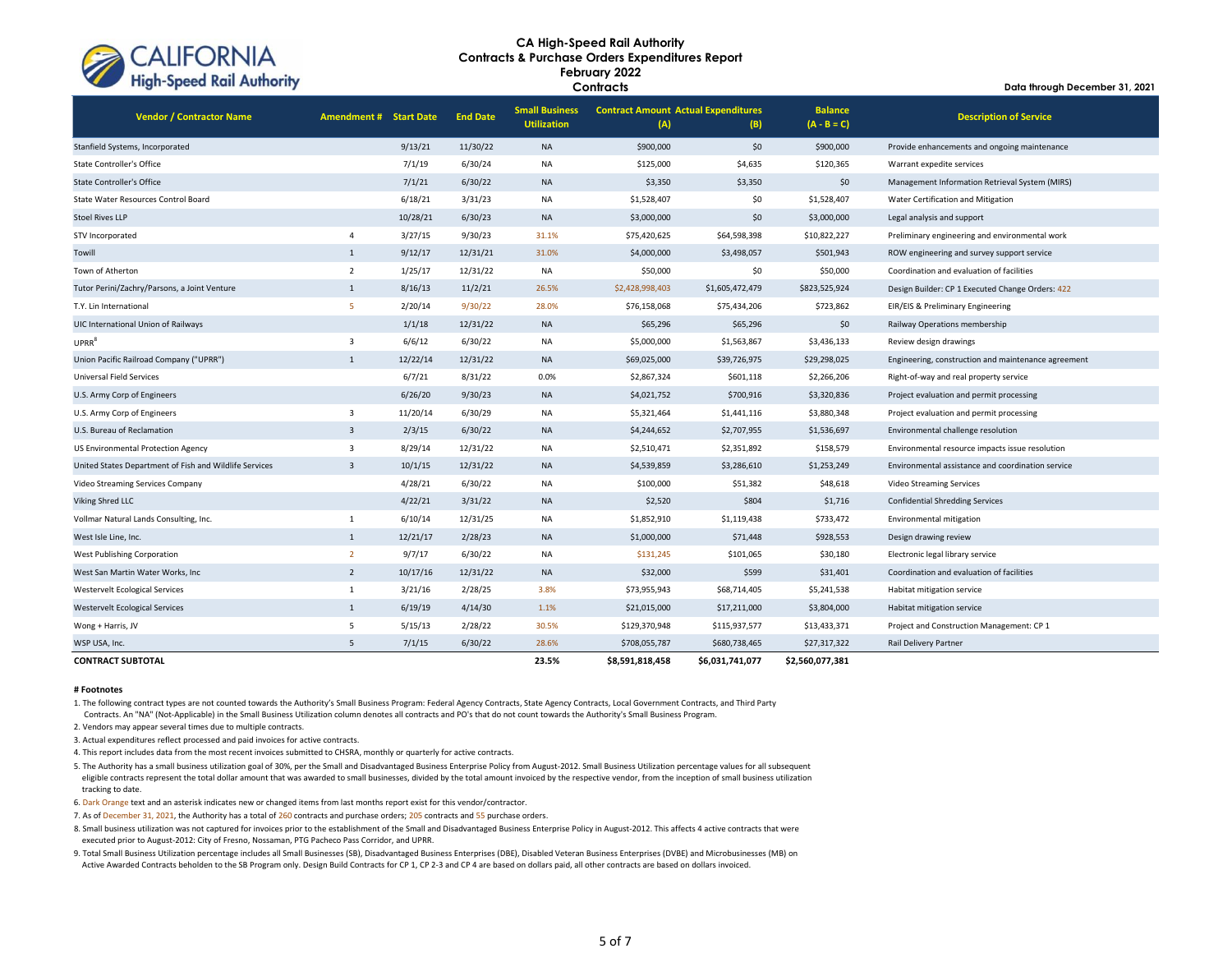

**Data through December 31, 2021**

| <b>Vendor / Contractor Name</b>                        | <b>Amendment # Start Date</b> |          | <b>End Date</b> | <b>Small Business</b><br><b>Utilization</b> | <b>Contract Amount Actual Expenditures</b><br>(A) | (B)             | <b>Balance</b><br>$(A - B = C)$ | <b>Description of Service</b>                       |
|--------------------------------------------------------|-------------------------------|----------|-----------------|---------------------------------------------|---------------------------------------------------|-----------------|---------------------------------|-----------------------------------------------------|
| Stanfield Systems, Incorporated                        |                               | 9/13/21  | 11/30/22        | <b>NA</b>                                   | \$900,000                                         | \$0             | \$900,000                       | Provide enhancements and ongoing maintenance        |
| State Controller's Office                              |                               | 7/1/19   | 6/30/24         | <b>NA</b>                                   | \$125,000                                         | \$4,635         | \$120,365                       | Warrant expedite services                           |
| <b>State Controller's Office</b>                       |                               | 7/1/21   | 6/30/22         | <b>NA</b>                                   | \$3,350                                           | \$3,350         | \$0                             | Management Information Retrieval System (MIRS)      |
| State Water Resources Control Board                    |                               | 6/18/21  | 3/31/23         | <b>NA</b>                                   | \$1,528,407                                       | \$0             | \$1,528,407                     | Water Certification and Mitigation                  |
| <b>Stoel Rives LLP</b>                                 |                               | 10/28/21 | 6/30/23         | <b>NA</b>                                   | \$3,000,000                                       | \$0             | \$3,000,000                     | Legal analysis and support                          |
| STV Incorporated                                       | $\overline{4}$                | 3/27/15  | 9/30/23         | 31.1%                                       | \$75,420,625                                      | \$64,598,398    | \$10,822,227                    | Preliminary engineering and environmental work      |
| Towill                                                 | $\mathbf{1}$                  | 9/12/17  | 12/31/21        | 31.0%                                       | \$4,000,000                                       | \$3,498,057     | \$501,943                       | ROW engineering and survey support service          |
| Town of Atherton                                       | $\overline{2}$                | 1/25/17  | 12/31/22        | NA                                          | \$50,000                                          | \$0             | \$50,000                        | Coordination and evaluation of facilities           |
| Tutor Perini/Zachry/Parsons, a Joint Venture           | $\mathbf{1}$                  | 8/16/13  | 11/2/21         | 26.5%                                       | \$2,428,998,403                                   | \$1,605,472,479 | \$823,525,924                   | Design Builder: CP 1 Executed Change Orders: 422    |
| T.Y. Lin International                                 | 5                             | 2/20/14  | 9/30/22         | 28.0%                                       | \$76,158,068                                      | \$75,434,206    | \$723,862                       | EIR/EIS & Preliminary Engineering                   |
| UIC International Union of Railways                    |                               | 1/1/18   | 12/31/22        | <b>NA</b>                                   | \$65,296                                          | \$65,296        | \$0                             | Railway Operations membership                       |
| UPRR <sup>8</sup>                                      | $\overline{3}$                | 6/6/12   | 6/30/22         | <b>NA</b>                                   | \$5,000,000                                       | \$1,563,867     | \$3,436,133                     | Review design drawings                              |
| Union Pacific Railroad Company ("UPRR")                | $\mathbf{1}$                  | 12/22/14 | 12/31/22        | <b>NA</b>                                   | \$69,025,000                                      | \$39,726,975    | \$29,298,025                    | Engineering, construction and maintenance agreement |
| Universal Field Services                               |                               | 6/7/21   | 8/31/22         | 0.0%                                        | \$2,867,324                                       | \$601,118       | \$2,266,206                     | Right-of-way and real property service              |
| U.S. Army Corp of Engineers                            |                               | 6/26/20  | 9/30/23         | <b>NA</b>                                   | \$4,021,752                                       | \$700,916       | \$3,320,836                     | Project evaluation and permit processing            |
| U.S. Army Corp of Engineers                            | $\overline{3}$                | 11/20/14 | 6/30/29         | <b>NA</b>                                   | \$5,321,464                                       | \$1,441,116     | \$3,880,348                     | Project evaluation and permit processing            |
| U.S. Bureau of Reclamation                             | $\overline{3}$                | 2/3/15   | 6/30/22         | <b>NA</b>                                   | \$4,244,652                                       | \$2,707,955     | \$1,536,697                     | Environmental challenge resolution                  |
| US Environmental Protection Agency                     | $\overline{3}$                | 8/29/14  | 12/31/22        | <b>NA</b>                                   | \$2,510,471                                       | \$2,351,892     | \$158,579                       | Environmental resource impacts issue resolution     |
| United States Department of Fish and Wildlife Services | $\overline{3}$                | 10/1/15  | 12/31/22        | <b>NA</b>                                   | \$4,539,859                                       | \$3,286,610     | \$1,253,249                     | Environmental assistance and coordination service   |
| Video Streaming Services Company                       |                               | 4/28/21  | 6/30/22         | NA                                          | \$100,000                                         | \$51,382        | \$48,618                        | Video Streaming Services                            |
| Viking Shred LLC                                       |                               | 4/22/21  | 3/31/22         | <b>NA</b>                                   | \$2,520                                           | \$804           | \$1,716                         | <b>Confidential Shredding Services</b>              |
| Vollmar Natural Lands Consulting, Inc.                 | $\mathbf{1}$                  | 6/10/14  | 12/31/25        | NA                                          | \$1,852,910                                       | \$1,119,438     | \$733,472                       | Environmental mitigation                            |
| West Isle Line, Inc.                                   | 1                             | 12/21/17 | 2/28/23         | <b>NA</b>                                   | \$1,000,000                                       | \$71,448        | \$928,553                       | Design drawing review                               |
| West Publishing Corporation                            | $\overline{2}$                | 9/7/17   | 6/30/22         | <b>NA</b>                                   | \$131,245                                         | \$101,065       | \$30,180                        | Electronic legal library service                    |
| West San Martin Water Works, Inc                       | $\overline{2}$                | 10/17/16 | 12/31/22        | <b>NA</b>                                   | \$32,000                                          | \$599           | \$31,401                        | Coordination and evaluation of facilities           |
| <b>Westervelt Ecological Services</b>                  | $\mathbf{1}$                  | 3/21/16  | 2/28/25         | 3.8%                                        | \$73,955,943                                      | \$68,714,405    | \$5,241,538                     | Habitat mitigation service                          |
| <b>Westervelt Ecological Services</b>                  | $\mathbf{1}$                  | 6/19/19  | 4/14/30         | 1.1%                                        | \$21,015,000                                      | \$17,211,000    | \$3,804,000                     | Habitat mitigation service                          |
| Wong + Harris, JV                                      | 5                             | 5/15/13  | 2/28/22         | 30.5%                                       | \$129,370,948                                     | \$115,937,577   | \$13,433,371                    | Project and Construction Management: CP 1           |
| WSP USA, Inc.                                          | 5                             | 7/1/15   | 6/30/22         | 28.6%                                       | \$708,055,787                                     | \$680,738,465   | \$27,317,322                    | <b>Rail Delivery Partner</b>                        |
| <b>CONTRACT SUBTOTAL</b>                               |                               |          |                 | 23.5%                                       | \$8.591.818.458                                   | \$6.031.741.077 | \$2.560.077.381                 |                                                     |

#### **# Footnotes**

1. The following contract types are not counted towards the Authority's Small Business Program: Federal Agency Contracts, State Agency Contracts, Local Government Contracts, and Third Party

Contracts. An "NA" (Not-Applicable) in the Small Business Utilization column denotes all contracts and PO's that do not count towards the Authority's Small Business Program.

2. Vendors may appear several times due to multiple contracts.

3. Actual expenditures reflect processed and paid invoices for active contracts.

4. This report includes data from the most recent invoices submitted to CHSRA, monthly or quarterly for active contracts.

5. The Authority has a small business utilization goal of 30%, per the Small and Disadvantaged Business Enterprise Policy from August-2012. Small Business Utilization percentage values for all subsequent eligible contracts represent the total dollar amount that was awarded to small businesses, divided by the total amount invoiced by the respective vendor, from the inception of small business utilization tracking to date.

6. Dark Orange text and an asterisk indicates new or changed items from last months report exist for this vendor/contractor.

7. As of December 31, 2021, the Authority has a total of 260 contracts and purchase orders; 205 contracts and 55 purchase orders.

8. Small business utilization was not captured for invoices prior to the establishment of the Small and Disadvantaged Business Enterprise Policy in August-2012. This affects 4 active contracts that were executed prior to August-2012: City of Fresno, Nossaman, PTG Pacheco Pass Corridor, and UPRR.

9. Total Small Business Utilization percentage includes all Small Businesses (SB), Disadvantaged Business Enterprises (DBE), Disabled Veteran Business Enterprises (DVBE) and Microbusinesses (MB) on Active Awarded Contracts beholden to the SB Program only. Design Build Contracts for CP 1, CP 2-3 and CP 4 are based on dollars paid, all other contracts are based on dollars invoiced.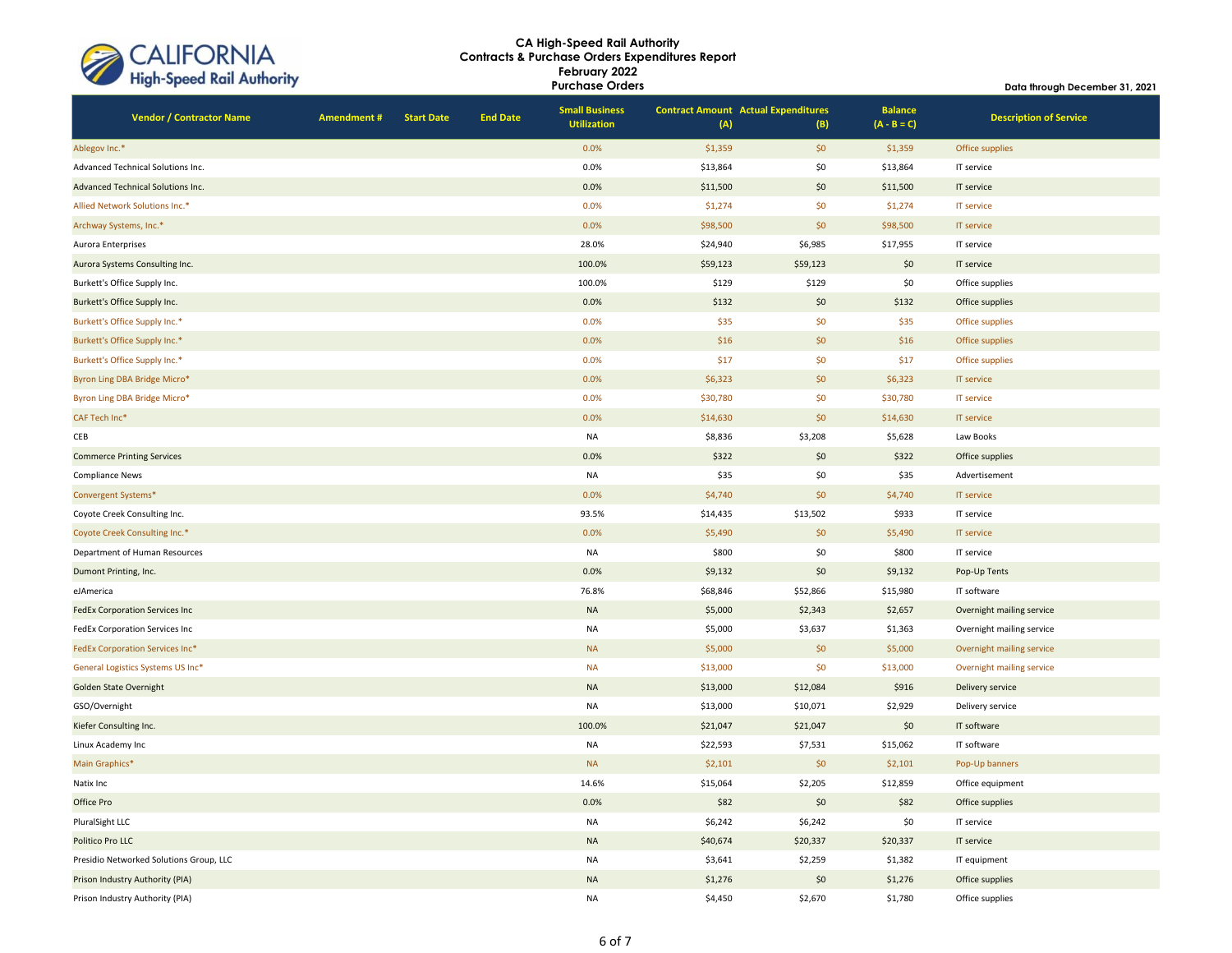| CALIFORNIA<br>High-Speed Rail Authority |
|-----------------------------------------|
|                                         |

**Vendor / Contractor Name Amendment # Start Date End Date Small Business Utilization Contract Amount Actual Expenditures (A) (B) Balance**<br>(A - B = C) **Description of Service** Ablegov Inc.\* 0.0% \$1,359 \$0 \$1,359 Office supplies Advanced Technical Solutions Inc. **Canadia Inc. Advanced Technical Solutions Inc.** Canadia IT service in the service Advanced Technical Solutions Inc. **Details and Contact Advanced Technical Solutions Inc.** 0.0% \$11,500 \$11,500 \$11,500 IT service Allied Network Solutions Inc.\* Contract Network Solutions Inc.\* Contract Network Solutions Inc.\* IT service Archway Systems, Inc.\* 0.0% \$98,500 \$0 \$98,500 IT service Aurora Enterprises 28.0% \$24,940 \$6,985 \$17,955 IT service Aurora Systems Consulting Inc. 100.0% \$59,123 \$59,123 \$59,123 \$59,123 \$59,123 \$0 IT service Burkett's Office Supply Inc. 100.0% \$129 \$129 \$0 Office supplies Burkett's Office Supply Inc. **1999 Contract Contract Contract Contract Contract Contract Contract Contract Contract Contract Contract Contract Contract Contract Contract Contract Contract Contract Contract Contract Contrac** Burkett's Office Supply Inc.\* 0.0% \$35 \$0 \$35 Office supplies Burkett's Office Supply Inc.\* **1.2.4 Supplies** State of the Supplies of the Supplies of the Supplies of the Supplies of the Supplies of the Supplies of the Supplies of the Supplies of the Supplies of the Supplies of the Su Burkett's Office Supply Inc.\* 0.0% \$17 \$0 \$17 Office supplies Byron Ling DBA Bridge Micro\* **1.1 Comparison Comparison Comparison Comparison Comparison Comparison Comparison Comparison Comparison Comparison Comparison Comparison Comparison Comparison Comparison Comparison Comparison C** Byron Ling DBA Bridge Micro\* **Example 20:00 State And The Control** Constant Constant Constant Constant Constant Constant Constant Constant Constant Constant Constant Constant Constant Constant Constant Constant Constant Co CAF Tech Inc\* 0.0% \$14,630 \$0 \$14,630 IT service CEB NA \$8,836 \$3,208 \$5,628 Law Books Commerce Printing Services **Commerce Printing Services** Office supplies and the supplies of the supplies of the supplies of the supplies of the supplies of the supplies of the supplies of the supplies of the supplies of th Compliance News NA \$35 \$0 \$35 Advertisement Convergent Systems\* 0.0% \$4,740 \$0 \$4,740 IT service Coyote Creek Consulting Inc. 93.5% \$14,435 \$13,502 \$933 IT service Coyote Creek Consulting Inc.\* **Consulting Inc.\* Coyote Creek Consulting Inc.\* Coyote Creek Consulting Inc.\* Consulting Inc.\* Consulting Inc.\* Consulting Inc.\* Consulting Inc.\* Consulting Inc.\* Consulting In** Department of Human Resources and the service of the service of the service of the service of the service of the service of the service of the service of the service of the service of the service of the service of the serv Dumont Printing, Inc. 0.0% \$9,132 \$0 \$9,132 Pop-Up Tents eJAmerica 76.8% \$68,846 \$52,866 \$15,980 IT software FedEx Corporation Services Inc NA \$5,000 \$2,343 \$2,657 Overnight mailing service FedEx Corporation Services Inc NA S5,000 \$3,637 \$1,363 Overnight mailing service FedEx Corporation Services Inc\* NA \$5,000 \$0 \$5,000 Overnight mailing service General Logistics Systems US Inc\* Christmas Logistics Systems US Inc\* NA \$13,000 \$13,000 \$13,000 Overnight mailing service Golden State Overnight NA \$13,000 \$12,084 \$916 Delivery service GSO/Overnight NA \$13,000 \$10,071 \$2,929 Delivery service Kiefer Consulting Inc. 100.0% \$21,047 \$21,047 \$0 IT software Linux Academy Inc NA \$22,593 \$7,531 \$15,062 IT software Main Graphics\* NA \$2,101 \$0 \$2,101 Pop-Up banners Natix Inc 14.6% \$15,064 \$2,205 \$12,859 Office equipment \$15,064 \$2,205 \$2,205 \$12,859 Office equipment Office Pro 0.0% \$82 \$0 \$82 Office supplies PluralSight LLC NA \$6,242 \$6,242 \$0 IT service Politico Pro LLC NA \$40,674 \$20,337 \$20,337 IT service Presidio Networked Solutions Group, LLC NA \$3,641 \$2,259 \$1,382 IT equipment Prison Industry Authority (PIA) **Calculation Contract Contract Contract Contract Contract Contract Contract Contract Contract Contract Contract Contract Contract Contract Contract Contract Contract Contract Contract Contra** Prison Industry Authority (PIA) Childrenia Childrenia Na has a statement of the supplies of the supplies of the supplies **Data through December 31, 2021**